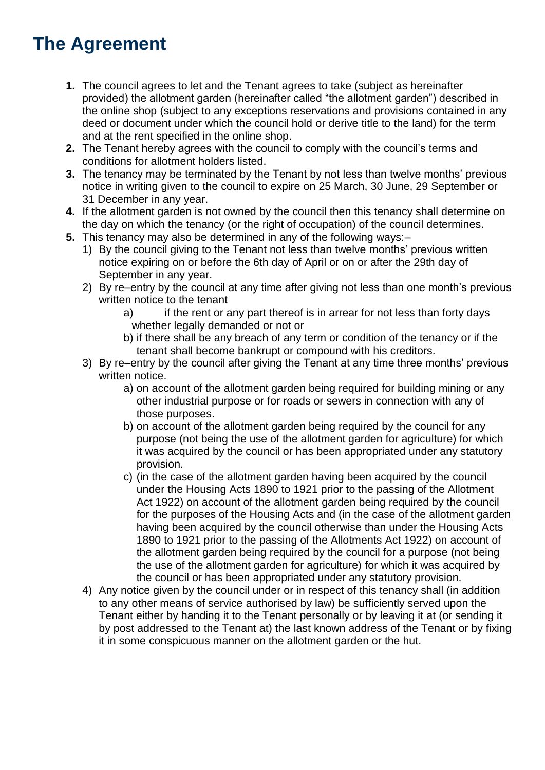## **The Agreement**

- **1.** The council agrees to let and the Tenant agrees to take (subject as hereinafter provided) the allotment garden (hereinafter called "the allotment garden") described in the online shop (subject to any exceptions reservations and provisions contained in any deed or document under which the council hold or derive title to the land) for the term and at the rent specified in the online shop.
- **2.** The Tenant hereby agrees with the council to comply with the council's terms and conditions for allotment holders listed.
- **3.** The tenancy may be terminated by the Tenant by not less than twelve months' previous notice in writing given to the council to expire on 25 March, 30 June, 29 September or 31 December in any year.
- **4.** If the allotment garden is not owned by the council then this tenancy shall determine on the day on which the tenancy (or the right of occupation) of the council determines.
- **5.** This tenancy may also be determined in any of the following ways:–
	- 1) By the council giving to the Tenant not less than twelve months' previous written notice expiring on or before the 6th day of April or on or after the 29th day of September in any year.
	- 2) By re–entry by the council at any time after giving not less than one month's previous written notice to the tenant
		- a) if the rent or any part thereof is in arrear for not less than forty days whether legally demanded or not or
		- b) if there shall be any breach of any term or condition of the tenancy or if the tenant shall become bankrupt or compound with his creditors.
	- 3) By re–entry by the council after giving the Tenant at any time three months' previous written notice.
		- a) on account of the allotment garden being required for building mining or any other industrial purpose or for roads or sewers in connection with any of those purposes.
		- b) on account of the allotment garden being required by the council for any purpose (not being the use of the allotment garden for agriculture) for which it was acquired by the council or has been appropriated under any statutory provision.
		- c) (in the case of the allotment garden having been acquired by the council under the Housing Acts 1890 to 1921 prior to the passing of the Allotment Act 1922) on account of the allotment garden being required by the council for the purposes of the Housing Acts and (in the case of the allotment garden having been acquired by the council otherwise than under the Housing Acts 1890 to 1921 prior to the passing of the Allotments Act 1922) on account of the allotment garden being required by the council for a purpose (not being the use of the allotment garden for agriculture) for which it was acquired by the council or has been appropriated under any statutory provision.
	- 4) Any notice given by the council under or in respect of this tenancy shall (in addition to any other means of service authorised by law) be sufficiently served upon the Tenant either by handing it to the Tenant personally or by leaving it at (or sending it by post addressed to the Tenant at) the last known address of the Tenant or by fixing it in some conspicuous manner on the allotment garden or the hut.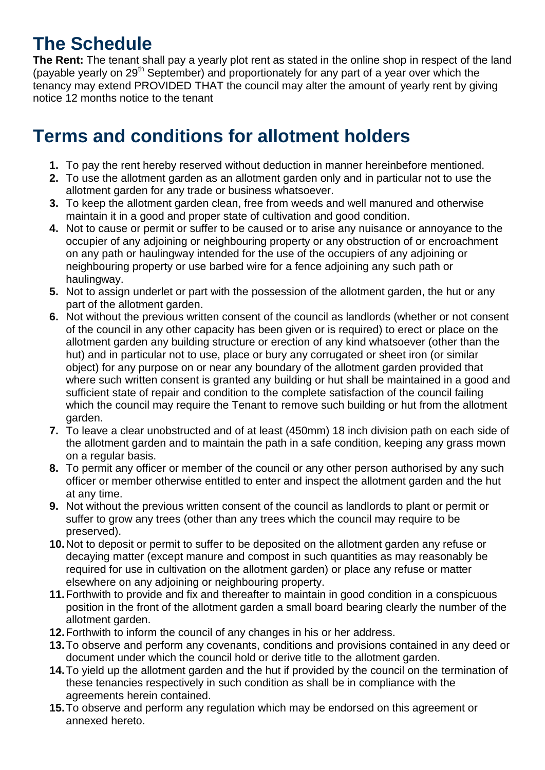## **The Schedule**

**The Rent:** The tenant shall pay a yearly plot rent as stated in the online shop in respect of the land (payable yearly on 29<sup>th</sup> September) and proportionately for any part of a year over which the tenancy may extend PROVIDED THAT the council may alter the amount of yearly rent by giving notice 12 months notice to the tenant

## **Terms and conditions for allotment holders**

- **1.** To pay the rent hereby reserved without deduction in manner hereinbefore mentioned.
- **2.** To use the allotment garden as an allotment garden only and in particular not to use the allotment garden for any trade or business whatsoever.
- **3.** To keep the allotment garden clean, free from weeds and well manured and otherwise maintain it in a good and proper state of cultivation and good condition.
- **4.** Not to cause or permit or suffer to be caused or to arise any nuisance or annoyance to the occupier of any adjoining or neighbouring property or any obstruction of or encroachment on any path or haulingway intended for the use of the occupiers of any adjoining or neighbouring property or use barbed wire for a fence adjoining any such path or haulingway.
- **5.** Not to assign underlet or part with the possession of the allotment garden, the hut or any part of the allotment garden.
- **6.** Not without the previous written consent of the council as landlords (whether or not consent of the council in any other capacity has been given or is required) to erect or place on the allotment garden any building structure or erection of any kind whatsoever (other than the hut) and in particular not to use, place or bury any corrugated or sheet iron (or similar object) for any purpose on or near any boundary of the allotment garden provided that where such written consent is granted any building or hut shall be maintained in a good and sufficient state of repair and condition to the complete satisfaction of the council failing which the council may require the Tenant to remove such building or hut from the allotment garden.
- **7.** To leave a clear unobstructed and of at least (450mm) 18 inch division path on each side of the allotment garden and to maintain the path in a safe condition, keeping any grass mown on a regular basis.
- **8.** To permit any officer or member of the council or any other person authorised by any such officer or member otherwise entitled to enter and inspect the allotment garden and the hut at any time.
- **9.** Not without the previous written consent of the council as landlords to plant or permit or suffer to grow any trees (other than any trees which the council may require to be preserved).
- **10.**Not to deposit or permit to suffer to be deposited on the allotment garden any refuse or decaying matter (except manure and compost in such quantities as may reasonably be required for use in cultivation on the allotment garden) or place any refuse or matter elsewhere on any adjoining or neighbouring property.
- **11.**Forthwith to provide and fix and thereafter to maintain in good condition in a conspicuous position in the front of the allotment garden a small board bearing clearly the number of the allotment garden.
- **12.**Forthwith to inform the council of any changes in his or her address.
- **13.**To observe and perform any covenants, conditions and provisions contained in any deed or document under which the council hold or derive title to the allotment garden.
- **14.**To yield up the allotment garden and the hut if provided by the council on the termination of these tenancies respectively in such condition as shall be in compliance with the agreements herein contained.
- **15.**To observe and perform any regulation which may be endorsed on this agreement or annexed hereto.